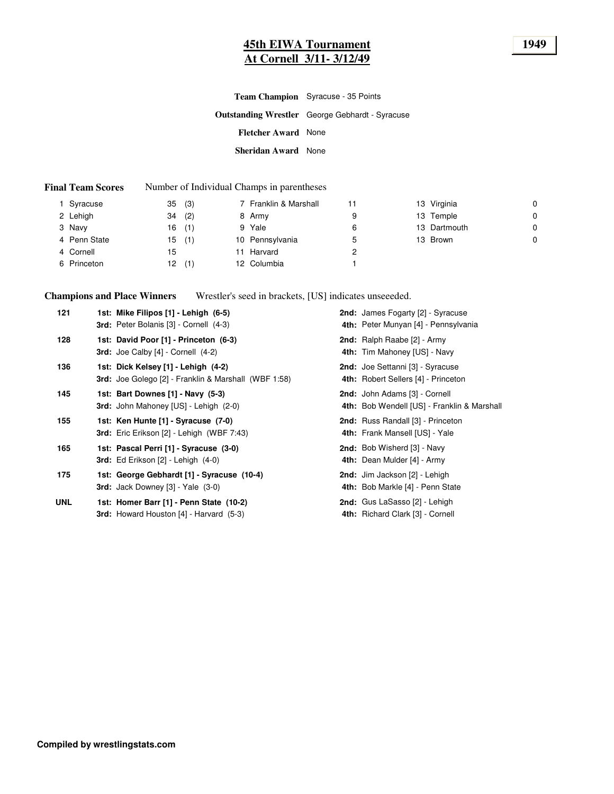### **45th EIWA Tournament 1949 At Cornell 3/11- 3/12/49**

|                            | <b>Team Champion</b> Syracuse - 35 Points              |
|----------------------------|--------------------------------------------------------|
|                            | <b>Outstanding Wrestler</b> George Gebhardt - Syracuse |
| <b>Fletcher Award</b> None |                                                        |
| <b>Sheridan Award</b> None |                                                        |

#### **Final Team Scores** Number of Individual Champs in parentheses

| Syracuse     | (3)<br>35 | 7 Franklin & Marshall |   | 13 Virginia  | 0 |
|--------------|-----------|-----------------------|---|--------------|---|
| 2 Lehigh     | (2)<br>34 | 8 Army                | 9 | 13 Temple    | 0 |
| 3 Navy       | (1)<br>16 | 9 Yale                | 6 | 13 Dartmouth | 0 |
| 4 Penn State | (1)<br>15 | 10 Pennsylvania       | 5 | 13 Brown     | 0 |
| 4 Cornell    | 15        | Harvard               |   |              |   |
| 6 Princeton  | (1)<br>12 | 12 Columbia           |   |              |   |

**Champions and Place Winners** Wrestler's seed in brackets, [US] indicates unseeeded.

| 121        | 1st: Mike Filipos [1] - Lehigh (6-5)<br><b>3rd:</b> Peter Bolanis [3] - Cornell (4-3)              | <b>2nd:</b> James Fogarty [2] - Syracuse<br>4th: Peter Munyan [4] - Pennsylvania |
|------------|----------------------------------------------------------------------------------------------------|----------------------------------------------------------------------------------|
| 128        | 1st: David Poor [1] - Princeton (6-3)<br><b>3rd:</b> Joe Calby $[4]$ - Cornell $(4-2)$             | 2nd: Ralph Raabe [2] - Army<br>4th: Tim Mahoney [US] - Navy                      |
| 136        | 1st: Dick Kelsey [1] - Lehigh (4-2)<br><b>3rd:</b> Joe Golego [2] - Franklin & Marshall (WBF 1:58) | 2nd: Joe Settanni [3] - Syracuse<br>4th: Robert Sellers [4] - Princeton          |
| 145        | 1st: Bart Downes [1] - Navy (5-3)<br><b>3rd:</b> John Mahoney [US] - Lehigh (2-0)                  | 2nd: John Adams [3] - Cornell<br>4th: Bob Wendell [US] - Franklin & Marshall     |
| 155        | 1st: Ken Hunte [1] - Syracuse (7-0)<br>3rd: Eric Erikson [2] - Lehigh (WBF 7:43)                   | <b>2nd:</b> Russ Randall [3] - Princeton<br>4th: Frank Mansell [US] - Yale       |
| 165        | 1st: Pascal Perri [1] - Syracuse (3-0)<br><b>3rd:</b> Ed Erikson $[2]$ - Lehigh $(4-0)$            | 2nd: Bob Wisherd [3] - Navy<br>4th: Dean Mulder [4] - Army                       |
| 175        | 1st: George Gebhardt [1] - Syracuse (10-4)<br><b>3rd:</b> Jack Downey $[3]$ - Yale $(3-0)$         | 2nd: Jim Jackson [2] - Lehigh<br>4th: Bob Markle [4] - Penn State                |
| <b>UNL</b> | 1st: Homer Barr [1] - Penn State (10-2)<br><b>3rd:</b> Howard Houston [4] - Harvard (5-3)          | 2nd: Gus LaSasso [2] - Lehigh<br>4th: Richard Clark [3] - Cornell                |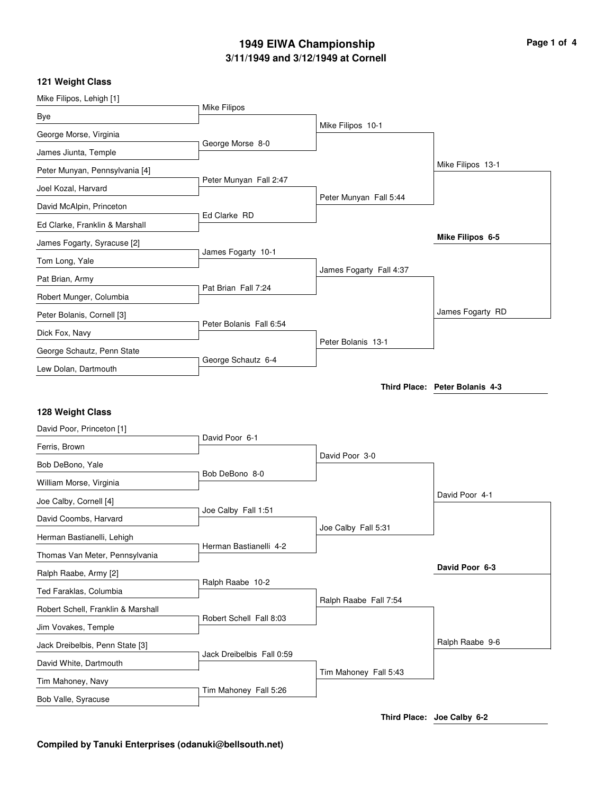## **3/11/1949 and 3/12/1949 at Cornell 1949 EIWA Championship Page 1 of 4**

### **121 Weight Class**

| Mike Filipos, Lehigh [1]                   |                           |                         |                                |
|--------------------------------------------|---------------------------|-------------------------|--------------------------------|
| Bye                                        | Mike Filipos              |                         |                                |
| George Morse, Virginia                     |                           | Mike Filipos 10-1       |                                |
| James Jiunta, Temple                       | George Morse 8-0          |                         |                                |
| Peter Munyan, Pennsylvania [4]             |                           |                         | Mike Filipos 13-1              |
| Joel Kozal, Harvard                        | Peter Munyan Fall 2:47    |                         |                                |
| David McAlpin, Princeton                   |                           | Peter Munyan Fall 5:44  |                                |
| Ed Clarke, Franklin & Marshall             | Ed Clarke RD              |                         |                                |
| James Fogarty, Syracuse [2]                |                           |                         | Mike Filipos 6-5               |
| Tom Long, Yale                             | James Fogarty 10-1        |                         |                                |
| Pat Brian, Army                            |                           | James Fogarty Fall 4:37 |                                |
| Robert Munger, Columbia                    | Pat Brian Fall 7:24       |                         |                                |
| Peter Bolanis, Cornell [3]                 |                           |                         | James Fogarty RD               |
| Dick Fox, Navy                             | Peter Bolanis Fall 6:54   |                         |                                |
| George Schautz, Penn State                 |                           | Peter Bolanis 13-1      |                                |
| Lew Dolan, Dartmouth                       | George Schautz 6-4        |                         |                                |
|                                            |                           |                         | Third Place: Peter Bolanis 4-3 |
|                                            |                           |                         |                                |
|                                            |                           |                         |                                |
| 128 Weight Class                           |                           |                         |                                |
| David Poor, Princeton [1]<br>Ferris, Brown | David Poor 6-1            |                         |                                |
| Bob DeBono, Yale                           |                           | David Poor 3-0          |                                |
| William Morse, Virginia                    | Bob DeBono 8-0            |                         |                                |
| Joe Calby, Cornell [4]                     |                           |                         | David Poor 4-1                 |
| David Coombs, Harvard                      | Joe Calby Fall 1:51       |                         |                                |
| Herman Bastianelli, Lehigh                 |                           | Joe Calby Fall 5:31     |                                |
| Thomas Van Meter, Pennsylvania             | Herman Bastianelli 4-2    |                         |                                |
| Ralph Raabe, Army [2]                      |                           |                         | David Poor 6-3                 |
| Ted Faraklas, Columbia                     | Ralph Raabe 10-2          |                         |                                |
| Robert Schell, Franklin & Marshall         |                           | Ralph Raabe Fall 7:54   |                                |
| Jim Vovakes, Temple                        | Robert Schell Fall 8:03   |                         |                                |
| Jack Dreibelbis, Penn State [3]            |                           |                         | Ralph Raabe 9-6                |
| David White, Dartmouth                     | Jack Dreibelbis Fall 0:59 |                         |                                |
| Tim Mahoney, Navy                          | Tim Mahoney Fall 5:26     | Tim Mahoney Fall 5:43   |                                |

**Third Place: Joe Calby 6-2**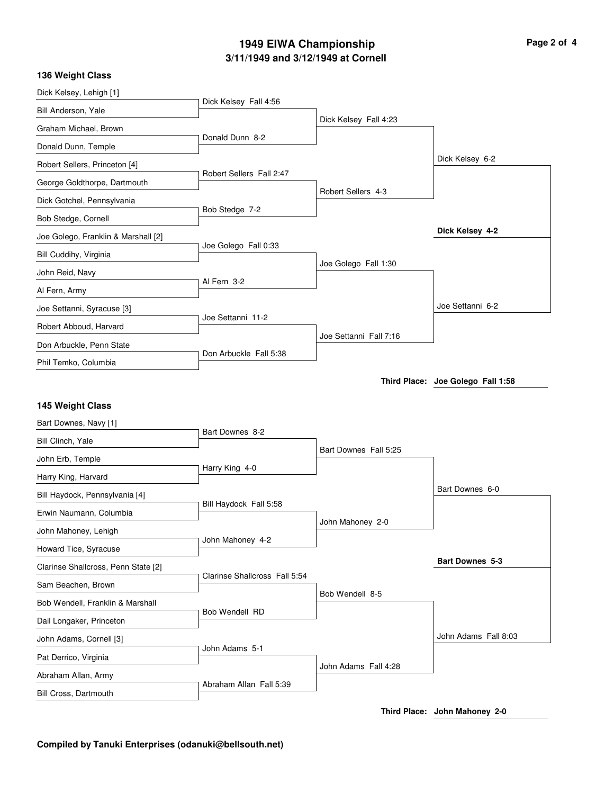# **3/11/1949 and 3/12/1949 at Cornell 1949 EIWA Championship Page 2 of 4**

| 136 Weight Class                          |                               |                        |                                   |
|-------------------------------------------|-------------------------------|------------------------|-----------------------------------|
| Dick Kelsey, Lehigh [1]                   | Dick Kelsey Fall 4:56         |                        |                                   |
| Bill Anderson, Yale                       |                               |                        |                                   |
| Graham Michael, Brown                     | Donald Dunn 8-2               | Dick Kelsey Fall 4:23  |                                   |
| Donald Dunn, Temple                       |                               |                        |                                   |
| Robert Sellers, Princeton [4]             |                               |                        | Dick Kelsey 6-2                   |
| George Goldthorpe, Dartmouth              | Robert Sellers Fall 2:47      |                        |                                   |
| Dick Gotchel, Pennsylvania                |                               | Robert Sellers 4-3     |                                   |
| Bob Stedge, Cornell                       | Bob Stedge 7-2                |                        |                                   |
| Joe Golego, Franklin & Marshall [2]       |                               |                        | Dick Kelsey 4-2                   |
| Bill Cuddihy, Virginia                    | Joe Golego Fall 0:33          |                        |                                   |
| John Reid, Navy                           |                               | Joe Golego Fall 1:30   |                                   |
| Al Fern, Army                             | Al Fern 3-2                   |                        |                                   |
| Joe Settanni, Syracuse [3]                |                               |                        | Joe Settanni 6-2                  |
| Robert Abboud, Harvard                    | Joe Settanni 11-2             |                        |                                   |
| Don Arbuckle, Penn State                  |                               | Joe Settanni Fall 7:16 |                                   |
| Phil Temko, Columbia                      | Don Arbuckle Fall 5:38        |                        |                                   |
|                                           |                               |                        | Third Place: Joe Golego Fall 1:58 |
|                                           |                               |                        |                                   |
| 145 Weight Class<br>Bart Downes, Navy [1] |                               |                        |                                   |
| Bill Clinch, Yale                         | Bart Downes 8-2               |                        |                                   |
|                                           |                               | Bart Downes Fall 5:25  |                                   |
| John Erb, Temple                          | Harry King 4-0                |                        |                                   |
| Harry King, Harvard                       |                               |                        | Bart Downes 6-0                   |
| Bill Haydock, Pennsylvania [4]            | Bill Haydock Fall 5:58        |                        |                                   |
| Erwin Naumann, Columbia                   |                               | John Mahoney 2-0       |                                   |
| John Mahoney, Lehigh                      | John Mahoney 4-2              |                        |                                   |
| Howard Tice, Syracuse                     |                               |                        | Bart Downes 5-3                   |
| Clarinse Shallcross, Penn State [2]       | Clarinse Shallcross Fall 5:54 |                        |                                   |
| Sam Beachen, Brown                        |                               | Bob Wendell 8-5        |                                   |
| Bob Wendell, Franklin & Marshall          | Bob Wendell RD                |                        |                                   |
| Dail Longaker, Princeton                  |                               |                        |                                   |
| John Adams, Cornell [3]                   | John Adams 5-1                |                        | John Adams Fall 8:03              |
| Pat Derrico, Virginia                     |                               |                        |                                   |
| Abraham Allan, Army                       |                               | John Adams Fall 4:28   |                                   |
| Bill Cross, Dartmouth                     | Abraham Allan Fall 5:39       |                        |                                   |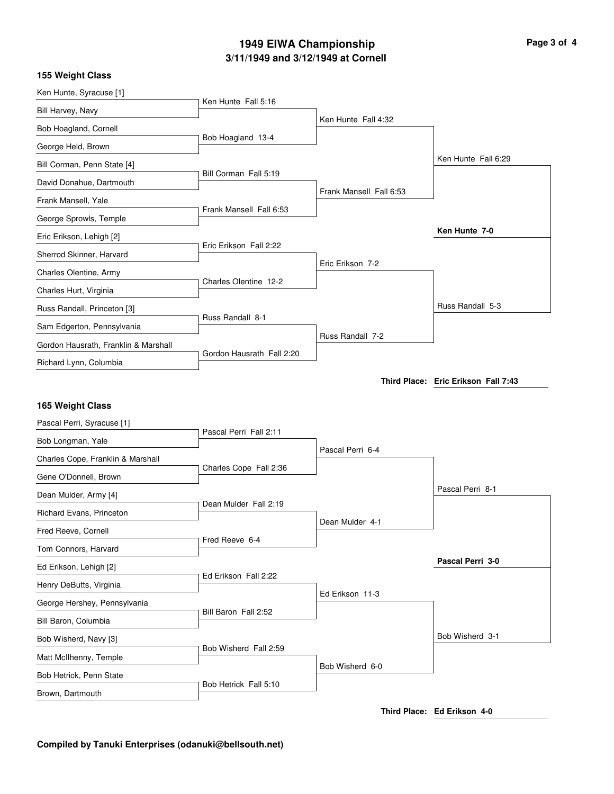# **3/11/1949 and 3/12/1949 at Cornell 1949 EIWA Championship Page 3 of 4**

|  | 155 Weight Class |  |
|--|------------------|--|
|--|------------------|--|

| Ken Hunte, Syracuse [1]                        |                           |                         |                                     |
|------------------------------------------------|---------------------------|-------------------------|-------------------------------------|
| Bill Harvey, Navy                              | Ken Hunte Fall 5:16       |                         |                                     |
| Bob Hoagland, Cornell                          |                           | Ken Hunte Fall 4:32     |                                     |
| George Held, Brown                             | Bob Hoagland 13-4         |                         |                                     |
| Bill Corman, Penn State [4]                    |                           |                         | Ken Hunte Fall 6:29                 |
| David Donahue, Dartmouth                       | Bill Corman Fall 5:19     |                         |                                     |
| Frank Mansell, Yale                            |                           | Frank Mansell Fall 6:53 |                                     |
| George Sprowls, Temple                         | Frank Mansell Fall 6:53   |                         |                                     |
| Eric Erikson, Lehigh [2]                       |                           |                         | Ken Hunte 7-0                       |
| Sherrod Skinner, Harvard                       | Eric Erikson Fall 2:22    |                         |                                     |
| Charles Olentine, Army                         |                           | Eric Erikson 7-2        |                                     |
| Charles Hurt, Virginia                         | Charles Olentine 12-2     |                         |                                     |
| Russ Randall, Princeton [3]                    |                           |                         | Russ Randall 5-3                    |
| Sam Edgerton, Pennsylvania                     | Russ Randall 8-1          |                         |                                     |
| Gordon Hausrath, Franklin & Marshall           |                           | Russ Randall 7-2        |                                     |
| Richard Lynn, Columbia                         | Gordon Hausrath Fall 2:20 |                         |                                     |
|                                                |                           |                         | Third Place: Eric Erikson Fall 7:43 |
|                                                |                           |                         |                                     |
|                                                |                           |                         |                                     |
| 165 Weight Class                               |                           |                         |                                     |
| Pascal Perri, Syracuse [1]                     | Pascal Perri Fall 2:11    |                         |                                     |
| Bob Longman, Yale                              |                           | Pascal Perri 6-4        |                                     |
| Charles Cope, Franklin & Marshall              | Charles Cope Fall 2:36    |                         |                                     |
| Gene O'Donnell, Brown                          |                           |                         | Pascal Perri 8-1                    |
| Dean Mulder, Army [4]                          | Dean Mulder Fall 2:19     |                         |                                     |
| Richard Evans, Princeton                       |                           | Dean Mulder 4-1         |                                     |
| Fred Reeve, Cornell                            | Fred Reeve 6-4            |                         |                                     |
| Tom Connors, Harvard<br>Ed Erikson, Lehigh [2] |                           |                         | Pascal Perri 3-0                    |
|                                                | Ed Erikson Fall 2:22      |                         |                                     |
| Henry DeButts, Virginia                        |                           | Ed Erikson 11-3         |                                     |
| George Hershey, Pennsylvania                   | Bill Baron Fall 2:52      |                         |                                     |
| Bill Baron, Columbia<br>Bob Wisherd, Navy [3]  |                           |                         | Bob Wisherd 3-1                     |
| Matt McIlhenny, Temple                         | Bob Wisherd Fall 2:59     |                         |                                     |
| Bob Hetrick, Penn State                        |                           | Bob Wisherd 6-0         |                                     |
| Brown, Dartmouth                               | Bob Hetrick Fall 5:10     |                         |                                     |